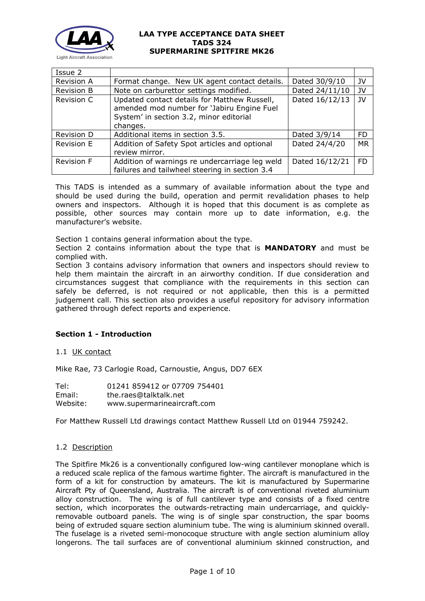

| Issue 2           |                                                                                                                                                   |                |           |
|-------------------|---------------------------------------------------------------------------------------------------------------------------------------------------|----------------|-----------|
| Revision A        | Format change. New UK agent contact details.                                                                                                      | Dated 30/9/10  | JV        |
| <b>Revision B</b> | Note on carburettor settings modified.                                                                                                            | Dated 24/11/10 | JV        |
| Revision C        | Updated contact details for Matthew Russell,<br>amended mod number for 'Jabiru Engine Fuel<br>System' in section 3.2, minor editorial<br>changes. | Dated 16/12/13 | JV        |
| Revision D        | Additional items in section 3.5.                                                                                                                  | Dated 3/9/14   | <b>FD</b> |
| Revision E        | Addition of Safety Spot articles and optional<br>review mirror.                                                                                   | Dated 24/4/20  | <b>MR</b> |
| <b>Revision F</b> | Addition of warnings re undercarriage leg weld<br>failures and tailwheel steering in section 3.4                                                  | Dated 16/12/21 | <b>FD</b> |

This TADS is intended as a summary of available information about the type and should be used during the build, operation and permit revalidation phases to help owners and inspectors. Although it is hoped that this document is as complete as possible, other sources may contain more up to date information, e.g. the manufacturer's website.

Section 1 contains general information about the type.

Section 2 contains information about the type that is **MANDATORY** and must be complied with.

Section 3 contains advisory information that owners and inspectors should review to help them maintain the aircraft in an airworthy condition. If due consideration and circumstances suggest that compliance with the requirements in this section can safely be deferred, is not required or not applicable, then this is a permitted judgement call. This section also provides a useful repository for advisory information gathered through defect reports and experience.

### **Section 1 - Introduction**

1.1 UK contact

Mike Rae, 73 Carlogie Road, Carnoustie, Angus, DD7 6EX

| Tel:     | 01241 859412 or 07709 754401 |
|----------|------------------------------|
| Email:   | the.raes@talktalk.net        |
| Website: | www.supermarineaircraft.com  |

For Matthew Russell Ltd drawings contact Matthew Russell Ltd on 01944 759242.

### 1.2 Description

The Spitfire Mk26 is a conventionally configured low-wing cantilever monoplane which is a reduced scale replica of the famous wartime fighter. The aircraft is manufactured in the form of a kit for construction by amateurs. The kit is manufactured by Supermarine Aircraft Pty of Queensland, Australia. The aircraft is of conventional riveted aluminium alloy construction. The wing is of full cantilever type and consists of a fixed centre section, which incorporates the outwards-retracting main undercarriage, and quicklyremovable outboard panels. The wing is of single spar construction, the spar booms being of extruded square section aluminium tube. The wing is aluminium skinned overall. The fuselage is a riveted semi-monocoque structure with angle section aluminium alloy longerons. The tail surfaces are of conventional aluminium skinned construction, and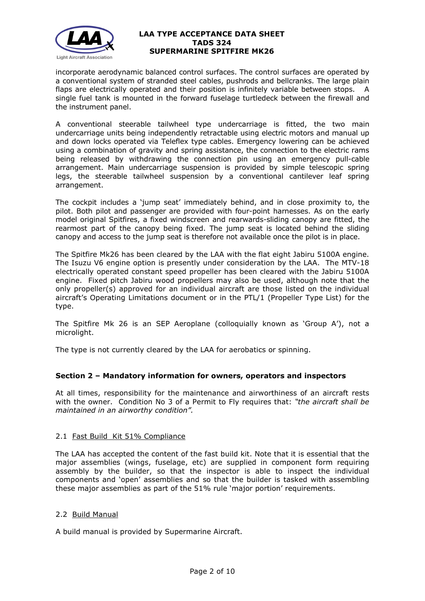

incorporate aerodynamic balanced control surfaces. The control surfaces are operated by a conventional system of stranded steel cables, pushrods and bellcranks. The large plain flaps are electrically operated and their position is infinitely variable between stops. A single fuel tank is mounted in the forward fuselage turtledeck between the firewall and the instrument panel.

A conventional steerable tailwheel type undercarriage is fitted, the two main undercarriage units being independently retractable using electric motors and manual up and down locks operated via Teleflex type cables. Emergency lowering can be achieved using a combination of gravity and spring assistance, the connection to the electric rams being released by withdrawing the connection pin using an emergency pull-cable arrangement. Main undercarriage suspension is provided by simple telescopic spring legs, the steerable tailwheel suspension by a conventional cantilever leaf spring arrangement.

The cockpit includes a 'jump seat' immediately behind, and in close proximity to, the pilot. Both pilot and passenger are provided with four-point harnesses. As on the early model original Spitfires, a fixed windscreen and rearwards-sliding canopy are fitted, the rearmost part of the canopy being fixed. The jump seat is located behind the sliding canopy and access to the jump seat is therefore not available once the pilot is in place.

The Spitfire Mk26 has been cleared by the LAA with the flat eight Jabiru 5100A engine. The Isuzu V6 engine option is presently under consideration by the LAA. The MTV-18 electrically operated constant speed propeller has been cleared with the Jabiru 5100A engine. Fixed pitch Jabiru wood propellers may also be used, although note that the only propeller(s) approved for an individual aircraft are those listed on the individual aircraft's Operating Limitations document or in the PTL/1 (Propeller Type List) for the type.

The Spitfire Mk 26 is an SEP Aeroplane (colloquially known as 'Group A'), not a microlight.

The type is not currently cleared by the LAA for aerobatics or spinning.

# **Section 2 – Mandatory information for owners, operators and inspectors**

At all times, responsibility for the maintenance and airworthiness of an aircraft rests with the owner. Condition No 3 of a Permit to Fly requires that: *"the aircraft shall be maintained in an airworthy condition".* 

### 2.1 Fast Build Kit 51% Compliance

The LAA has accepted the content of the fast build kit. Note that it is essential that the major assemblies (wings, fuselage, etc) are supplied in component form requiring assembly by the builder, so that the inspector is able to inspect the individual components and 'open' assemblies and so that the builder is tasked with assembling these major assemblies as part of the 51% rule 'major portion' requirements.

### 2.2 Build Manual

A build manual is provided by Supermarine Aircraft.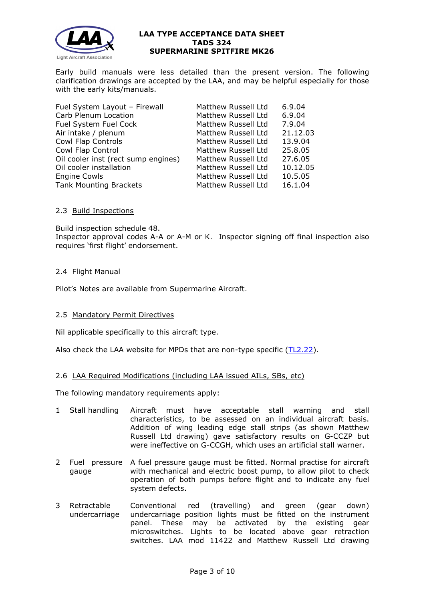

Early build manuals were less detailed than the present version. The following clarification drawings are accepted by the LAA, and may be helpful especially for those with the early kits/manuals.

| Fuel System Layout - Firewall       | Matthew Russell Ltd | 6.9.04   |
|-------------------------------------|---------------------|----------|
| Carb Plenum Location                | Matthew Russell Ltd | 6.9.04   |
| Fuel System Fuel Cock               | Matthew Russell Ltd | 7.9.04   |
| Air intake / plenum                 | Matthew Russell Ltd | 21.12.03 |
| Cowl Flap Controls                  | Matthew Russell Ltd | 13.9.04  |
| Cowl Flap Control                   | Matthew Russell Ltd | 25.8.05  |
| Oil cooler inst (rect sump engines) | Matthew Russell Ltd | 27.6.05  |
| Oil cooler installation             | Matthew Russell Ltd | 10.12.05 |
| <b>Engine Cowls</b>                 | Matthew Russell Ltd | 10.5.05  |
| <b>Tank Mounting Brackets</b>       | Matthew Russell Ltd | 16.1.04  |

### 2.3 Build Inspections

Build inspection schedule 48.

Inspector approval codes A-A or A-M or K. Inspector signing off final inspection also requires 'first flight' endorsement.

## 2.4 Flight Manual

Pilot's Notes are available from Supermarine Aircraft.

### 2.5 Mandatory Permit Directives

Nil applicable specifically to this aircraft type.

Also check the LAA website for MPDs that are non-type specific [\(TL2.22\)](http://www.lightaircraftassociation.co.uk/engineering/TechnicalLeaflets/Operating%20An%20Aircraft/TL%202.22%20non-type%20specific%20MPDs.pdf).

### 2.6 LAA Required Modifications (including LAA issued AILs, SBs, etc)

The following mandatory requirements apply:

- 1 Stall handling Aircraft must have acceptable stall warning and stall characteristics, to be assessed on an individual aircraft basis. Addition of wing leading edge stall strips (as shown Matthew Russell Ltd drawing) gave satisfactory results on G-CCZP but were ineffective on G-CCGH, which uses an artificial stall warner.
- 2 Fuel pressure A fuel pressure gauge must be fitted. Normal practise for aircraft gauge with mechanical and electric boost pump, to allow pilot to check operation of both pumps before flight and to indicate any fuel system defects.
- 3 Retractable undercarriage Conventional red (travelling) and green (gear down) undercarriage position lights must be fitted on the instrument panel. These may be activated by the existing gear microswitches. Lights to be located above gear retraction switches. LAA mod 11422 and Matthew Russell Ltd drawing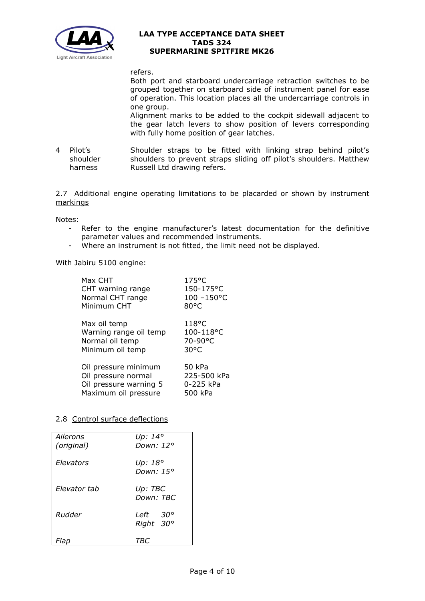

refers.

Both port and starboard undercarriage retraction switches to be grouped together on starboard side of instrument panel for ease of operation. This location places all the undercarriage controls in one group.

Alignment marks to be added to the cockpit sidewall adjacent to the gear latch levers to show position of levers corresponding with fully home position of gear latches.

4 Pilot's shoulder harness Shoulder straps to be fitted with linking strap behind pilot's shoulders to prevent straps sliding off pilot's shoulders. Matthew Russell Ltd drawing refers.

2.7 Additional engine operating limitations to be placarded or shown by instrument markings

Notes:

- Refer to the engine manufacturer's latest documentation for the definitive parameter values and recommended instruments.
- Where an instrument is not fitted, the limit need not be displayed.

With Jabiru 5100 engine:

| Max CHT                | $175^{\circ}$ C |
|------------------------|-----------------|
| CHT warning range      | 150-175°C       |
| Normal CHT range       | 100-150°C       |
| Minimum CHT            | $80^{\circ}$ C  |
| Max oil temp           | $118^{\circ}$ C |
| Warning range oil temp | 100-118°C       |
| Normal oil temp        | 70-90°C         |
| Minimum oil temp       | $30^{\circ}$ C  |
| Oil pressure minimum   | 50 kPa          |
| Oil pressure normal    | 225-500 kPa     |
| Oil pressure warning 5 | 0-225 kPa       |
| Maximum oil pressure   | 500 kPa         |

### 2.8 Control surface deflections

| Ailerons<br>(original) | Up: 14°<br>Down: 12°         |  |
|------------------------|------------------------------|--|
| Elevators              | Up: 18°<br>Down: 15°         |  |
| Flevator tab           | Up: TBC<br>Down: TBC         |  |
| Rudder                 | <i>Left 30°</i><br>Right 30° |  |
| Flab                   | TВ                           |  |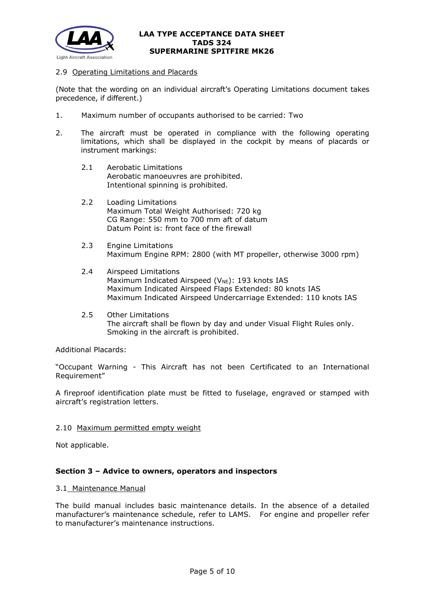

### 2.9 Operating Limitations and Placards

(Note that the wording on an individual aircraft's Operating Limitations document takes precedence, if different.)

- 1. Maximum number of occupants authorised to be carried: Two
- 2. The aircraft must be operated in compliance with the following operating limitations, which shall be displayed in the cockpit by means of placards or instrument markings:
	- 2.1 Aerobatic Limitations Aerobatic manoeuvres are prohibited. Intentional spinning is prohibited.
	- 2.2 Loading Limitations Maximum Total Weight Authorised: 720 kg CG Range: 550 mm to 700 mm aft of datum Datum Point is: front face of the firewall
	- 2.3 Engine Limitations Maximum Engine RPM: 2800 (with MT propeller, otherwise 3000 rpm)
	- 2.4 Airspeed Limitations Maximum Indicated Airspeed ( $V_{NE}$ ): 193 knots IAS Maximum Indicated Airspeed Flaps Extended: 80 knots IAS Maximum Indicated Airspeed Undercarriage Extended: 110 knots IAS
	- 2.5 Other Limitations The aircraft shall be flown by day and under Visual Flight Rules only. Smoking in the aircraft is prohibited.

Additional Placards:

"Occupant Warning - This Aircraft has not been Certificated to an International Requirement"

A fireproof identification plate must be fitted to fuselage, engraved or stamped with aircraft's registration letters.

#### 2.10 Maximum permitted empty weight

Not applicable.

### **Section 3 – Advice to owners, operators and inspectors**

#### 3.1 Maintenance Manual

The build manual includes basic maintenance details. In the absence of a detailed manufacturer's maintenance schedule, refer to LAMS. For engine and propeller refer to manufacturer's maintenance instructions.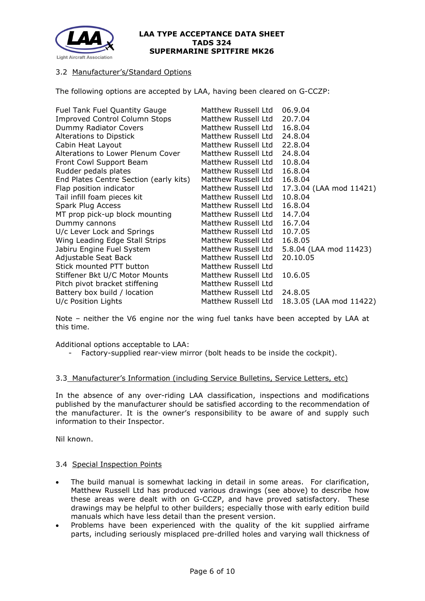

# 3.2 Manufacturer's/Standard Options

The following options are accepted by LAA, having been cleared on G-CCZP:

| Matthew Russell Ltd | 06.9.04                 |
|---------------------|-------------------------|
| Matthew Russell Ltd | 20.7.04                 |
| Matthew Russell Ltd | 16.8.04                 |
| Matthew Russell Ltd | 24.8.04                 |
| Matthew Russell Ltd | 22.8.04                 |
| Matthew Russell Ltd | 24.8.04                 |
| Matthew Russell Ltd | 10.8.04                 |
| Matthew Russell Ltd | 16.8.04                 |
| Matthew Russell Ltd | 16.8.04                 |
| Matthew Russell Ltd | 17.3.04 (LAA mod 11421) |
| Matthew Russell Ltd | 10.8.04                 |
| Matthew Russell Ltd | 16.8.04                 |
| Matthew Russell Ltd | 14.7.04                 |
| Matthew Russell Ltd | 16.7.04                 |
| Matthew Russell Ltd | 10.7.05                 |
| Matthew Russell Ltd | 16.8.05                 |
| Matthew Russell Ltd | 5.8.04 (LAA mod 11423)  |
| Matthew Russell Ltd | 20.10.05                |
| Matthew Russell Ltd |                         |
| Matthew Russell Ltd | 10.6.05                 |
| Matthew Russell Ltd |                         |
| Matthew Russell Ltd | 24.8.05                 |
| Matthew Russell Ltd | 18.3.05 (LAA mod 11422) |
|                     |                         |

Note – neither the V6 engine nor the wing fuel tanks have been accepted by LAA at this time.

Additional options acceptable to LAA:

- Factory-supplied rear-view mirror (bolt heads to be inside the cockpit).

#### 3.3 Manufacturer's Information (including Service Bulletins, Service Letters, etc)

In the absence of any over-riding LAA classification, inspections and modifications published by the manufacturer should be satisfied according to the recommendation of the manufacturer. It is the owner's responsibility to be aware of and supply such information to their Inspector.

Nil known.

### 3.4 Special Inspection Points

- The build manual is somewhat lacking in detail in some areas. For clarification, Matthew Russell Ltd has produced various drawings (see above) to describe how these areas were dealt with on G-CCZP, and have proved satisfactory. These drawings may be helpful to other builders; especially those with early edition build manuals which have less detail than the present version.
- Problems have been experienced with the quality of the kit supplied airframe parts, including seriously misplaced pre-drilled holes and varying wall thickness of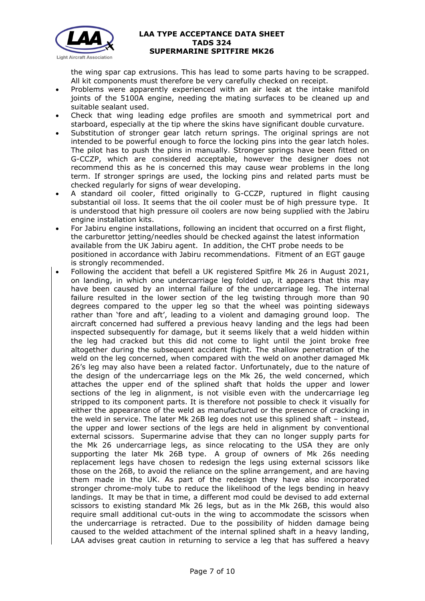

the wing spar cap extrusions. This has lead to some parts having to be scrapped. All kit components must therefore be very carefully checked on receipt.

- Problems were apparently experienced with an air leak at the intake manifold joints of the 5100A engine, needing the mating surfaces to be cleaned up and suitable sealant used.
- Check that wing leading edge profiles are smooth and symmetrical port and starboard, especially at the tip where the skins have significant double curvature.
- Substitution of stronger gear latch return springs. The original springs are not intended to be powerful enough to force the locking pins into the gear latch holes. The pilot has to push the pins in manually. Stronger springs have been fitted on G-CCZP, which are considered acceptable, however the designer does not recommend this as he is concerned this may cause wear problems in the long term. If stronger springs are used, the locking pins and related parts must be checked regularly for signs of wear developing.
- A standard oil cooler, fitted originally to G-CCZP, ruptured in flight causing substantial oil loss. It seems that the oil cooler must be of high pressure type. It is understood that high pressure oil coolers are now being supplied with the Jabiru engine installation kits.
- For Jabiru engine installations, following an incident that occurred on a first flight, the carburettor jetting/needles should be checked against the latest information available from the UK Jabiru agent. In addition, the CHT probe needs to be positioned in accordance with Jabiru recommendations. Fitment of an EGT gauge is strongly recommended.
- Following the accident that befell a UK registered Spitfire Mk 26 in August 2021, on landing, in which one undercarriage leg folded up, it appears that this may have been caused by an internal failure of the undercarriage leg. The internal failure resulted in the lower section of the leg twisting through more than 90 degrees compared to the upper leg so that the wheel was pointing sideways rather than 'fore and aft', leading to a violent and damaging ground loop. The aircraft concerned had suffered a previous heavy landing and the legs had been inspected subsequently for damage, but it seems likely that a weld hidden within the leg had cracked but this did not come to light until the joint broke free altogether during the subsequent accident flight. The shallow penetration of the weld on the leg concerned, when compared with the weld on another damaged Mk 26's leg may also have been a related factor. Unfortunately, due to the nature of the design of the undercarriage legs on the Mk 26, the weld concerned, which attaches the upper end of the splined shaft that holds the upper and lower sections of the leg in alignment, is not visible even with the undercarriage leg stripped to its component parts. It is therefore not possible to check it visually for either the appearance of the weld as manufactured or the presence of cracking in the weld in service. The later Mk 26B leg does not use this splined shaft – instead, the upper and lower sections of the legs are held in alignment by conventional external scissors. Supermarine advise that they can no longer supply parts for the Mk 26 undercarriage legs, as since relocating to the USA they are only supporting the later Mk 26B type. A group of owners of Mk 26s needing replacement legs have chosen to redesign the legs using external scissors like those on the 26B, to avoid the reliance on the spline arrangement, and are having them made in the UK. As part of the redesign they have also incorporated stronger chrome-moly tube to reduce the likelihood of the legs bending in heavy landings. It may be that in time, a different mod could be devised to add external scissors to existing standard Mk 26 legs, but as in the Mk 26B, this would also require small additional cut-outs in the wing to accommodate the scissors when the undercarriage is retracted. Due to the possibility of hidden damage being caused to the welded attachment of the internal splined shaft in a heavy landing, LAA advises great caution in returning to service a leg that has suffered a heavy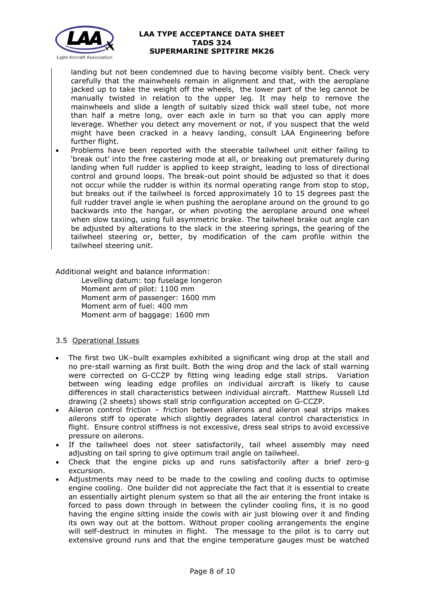

landing but not been condemned due to having become visibly bent. Check very carefully that the mainwheels remain in alignment and that, with the aeroplane jacked up to take the weight off the wheels, the lower part of the leg cannot be manually twisted in relation to the upper leg. It may help to remove the mainwheels and slide a length of suitably sized thick wall steel tube, not more than half a metre long, over each axle in turn so that you can apply more leverage. Whether you detect any movement or not, if you suspect that the weld might have been cracked in a heavy landing, consult LAA Engineering before further flight.

• Problems have been reported with the steerable tailwheel unit either failing to 'break out' into the free castering mode at all, or breaking out prematurely during landing when full rudder is applied to keep straight, leading to loss of directional control and ground loops. The break-out point should be adjusted so that it does not occur while the rudder is within its normal operating range from stop to stop, but breaks out if the tailwheel is forced approximately 10 to 15 degrees past the full rudder travel angle ie when pushing the aeroplane around on the ground to go backwards into the hangar, or when pivoting the aeroplane around one wheel when slow taxiing, using full asymmetric brake. The tailwheel brake out angle can be adjusted by alterations to the slack in the steering springs, the gearing of the tailwheel steering or, better, by modification of the cam profile within the tailwheel steering unit.

Additional weight and balance information:

Levelling datum: top fuselage longeron Moment arm of pilot: 1100 mm Moment arm of passenger: 1600 mm Moment arm of fuel: 400 mm Moment arm of baggage: 1600 mm

# 3.5 Operational Issues

- The first two UK–built examples exhibited a significant wing drop at the stall and no pre-stall warning as first built. Both the wing drop and the lack of stall warning were corrected on G-CCZP by fitting wing leading edge stall strips. Variation between wing leading edge profiles on individual aircraft is likely to cause differences in stall characteristics between individual aircraft. Matthew Russell Ltd drawing (2 sheets) shows stall strip configuration accepted on G-CCZP.
- Aileron control friction friction between ailerons and aileron seal strips makes ailerons stiff to operate which slightly degrades lateral control characteristics in flight. Ensure control stiffness is not excessive, dress seal strips to avoid excessive pressure on ailerons.
- If the tailwheel does not steer satisfactorily, tail wheel assembly may need adjusting on tail spring to give optimum trail angle on tailwheel.
- Check that the engine picks up and runs satisfactorily after a brief zero-g excursion.
- Adjustments may need to be made to the cowling and cooling ducts to optimise engine cooling. One builder did not appreciate the fact that it is essential to create an essentially airtight plenum system so that all the air entering the front intake is forced to pass down through in between the cylinder cooling fins, it is no good having the engine sitting inside the cowls with air just blowing over it and finding its own way out at the bottom. Without proper cooling arrangements the engine will self-destruct in minutes in flight. The message to the pilot is to carry out extensive ground runs and that the engine temperature gauges must be watched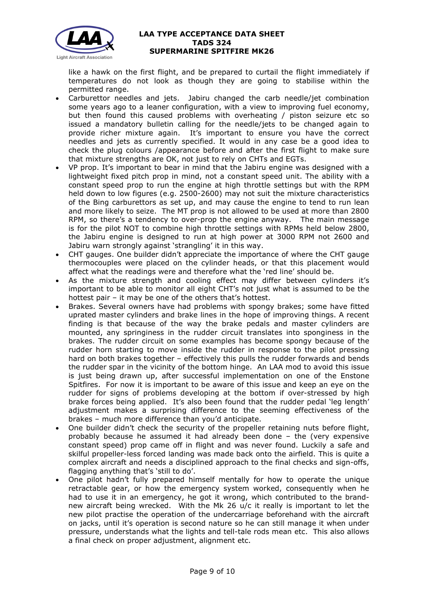

like a hawk on the first flight, and be prepared to curtail the flight immediately if temperatures do not look as though they are going to stabilise within the permitted range.

- Carburettor needles and jets. Jabiru changed the carb needle/jet combination some years ago to a leaner configuration, with a view to improving fuel economy, but then found this caused problems with overheating / piston seizure etc so issued a mandatory bulletin calling for the needle/jets to be changed again to provide richer mixture again. It's important to ensure you have the correct needles and jets as currently specified. It would in any case be a good idea to check the plug colours /appearance before and after the first flight to make sure that mixture strengths are OK, not just to rely on CHTs and EGTs.
- VP prop. It's important to bear in mind that the Jabiru engine was designed with a lightweight fixed pitch prop in mind, not a constant speed unit. The ability with a constant speed prop to run the engine at high throttle settings but with the RPM held down to low figures (e.g. 2500-2600) may not suit the mixture characteristics of the Bing carburettors as set up, and may cause the engine to tend to run lean and more likely to seize. The MT prop is not allowed to be used at more than 2800 RPM, so there's a tendency to over-prop the engine anyway. The main message is for the pilot NOT to combine high throttle settings with RPMs held below 2800, the Jabiru engine is designed to run at high power at 3000 RPM not 2600 and Jabiru warn strongly against 'strangling' it in this way.
- CHT gauges. One builder didn't appreciate the importance of where the CHT gauge thermocouples were placed on the cylinder heads, or that this placement would affect what the readings were and therefore what the 'red line' should be.
- As the mixture strength and cooling effect may differ between cylinders it's important to be able to monitor all eight CHT's not just what is assumed to be the hottest pair – it may be one of the others that's hottest.
- Brakes. Several owners have had problems with spongy brakes; some have fitted uprated master cylinders and brake lines in the hope of improving things. A recent finding is that because of the way the brake pedals and master cylinders are mounted, any springiness in the rudder circuit translates into sponginess in the brakes. The rudder circuit on some examples has become spongy because of the rudder horn starting to move inside the rudder in response to the pilot pressing hard on both brakes together – effectively this pulls the rudder forwards and bends the rudder spar in the vicinity of the bottom hinge. An LAA mod to avoid this issue is just being drawn up, after successful implementation on one of the Enstone Spitfires. For now it is important to be aware of this issue and keep an eye on the rudder for signs of problems developing at the bottom if over-stressed by high brake forces being applied. It's also been found that the rudder pedal 'leg length' adjustment makes a surprising difference to the seeming effectiveness of the brakes – much more difference than you'd anticipate.
- One builder didn't check the security of the propeller retaining nuts before flight, probably because he assumed it had already been done – the (very expensive constant speed) prop came off in flight and was never found. Luckily a safe and skilful propeller-less forced landing was made back onto the airfield. This is quite a complex aircraft and needs a disciplined approach to the final checks and sign-offs, flagging anything that's 'still to do'.
- One pilot hadn't fully prepared himself mentally for how to operate the unique retractable gear, or how the emergency system worked, consequently when he had to use it in an emergency, he got it wrong, which contributed to the brandnew aircraft being wrecked. With the Mk 26 u/c it really is important to let the new pilot practise the operation of the undercarriage beforehand with the aircraft on jacks, until it's operation is second nature so he can still manage it when under pressure, understands what the lights and tell-tale rods mean etc. This also allows a final check on proper adjustment, alignment etc.